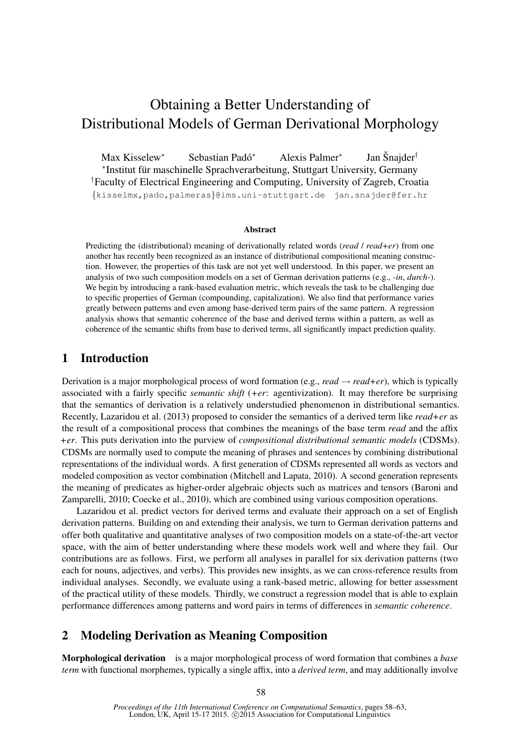# Obtaining a Better Understanding of Distributional Models of German Derivational Morphology

Max Kisselew<sup>∗</sup> Sebastian Pado´ <sup>∗</sup> Alexis Palmer<sup>∗</sup> Jan Šnajder<sup>†</sup> ∗ Institut fur maschinelle Sprachverarbeitung, Stuttgart University, Germany ¨ †Faculty of Electrical Engineering and Computing, University of Zagreb, Croatia {kisselmx,pado,palmeras}@ims.uni-stuttgart.de jan.snajder@fer.hr

#### Abstract

Predicting the (distributional) meaning of derivationally related words (*read* / *read+er*) from one another has recently been recognized as an instance of distributional compositional meaning construction. However, the properties of this task are not yet well understood. In this paper, we present an analysis of two such composition models on a set of German derivation patterns (e.g., *-in*, *durch-*). We begin by introducing a rank-based evaluation metric, which reveals the task to be challenging due to specific properties of German (compounding, capitalization). We also find that performance varies greatly between patterns and even among base-derived term pairs of the same pattern. A regression analysis shows that semantic coherence of the base and derived terms within a pattern, as well as coherence of the semantic shifts from base to derived terms, all significantly impact prediction quality.

## 1 Introduction

Derivation is a major morphological process of word formation (e.g.,  $read \rightarrow read + er$ ), which is typically associated with a fairly specific *semantic shift* (*+er*: agentivization). It may therefore be surprising that the semantics of derivation is a relatively understudied phenomenon in distributional semantics. Recently, Lazaridou et al. (2013) proposed to consider the semantics of a derived term like *read+er* as the result of a compositional process that combines the meanings of the base term *read* and the affix *+er*. This puts derivation into the purview of *compositional distributional semantic models* (CDSMs). CDSMs are normally used to compute the meaning of phrases and sentences by combining distributional representations of the individual words. A first generation of CDSMs represented all words as vectors and modeled composition as vector combination (Mitchell and Lapata, 2010). A second generation represents the meaning of predicates as higher-order algebraic objects such as matrices and tensors (Baroni and Zamparelli, 2010; Coecke et al., 2010), which are combined using various composition operations.

Lazaridou et al. predict vectors for derived terms and evaluate their approach on a set of English derivation patterns. Building on and extending their analysis, we turn to German derivation patterns and offer both qualitative and quantitative analyses of two composition models on a state-of-the-art vector space, with the aim of better understanding where these models work well and where they fail. Our contributions are as follows. First, we perform all analyses in parallel for six derivation patterns (two each for nouns, adjectives, and verbs). This provides new insights, as we can cross-reference results from individual analyses. Secondly, we evaluate using a rank-based metric, allowing for better assessment of the practical utility of these models. Thirdly, we construct a regression model that is able to explain performance differences among patterns and word pairs in terms of differences in *semantic coherence*.

# 2 Modeling Derivation as Meaning Composition

Morphological derivation is a major morphological process of word formation that combines a *base term* with functional morphemes, typically a single affix, into a *derived term*, and may additionally involve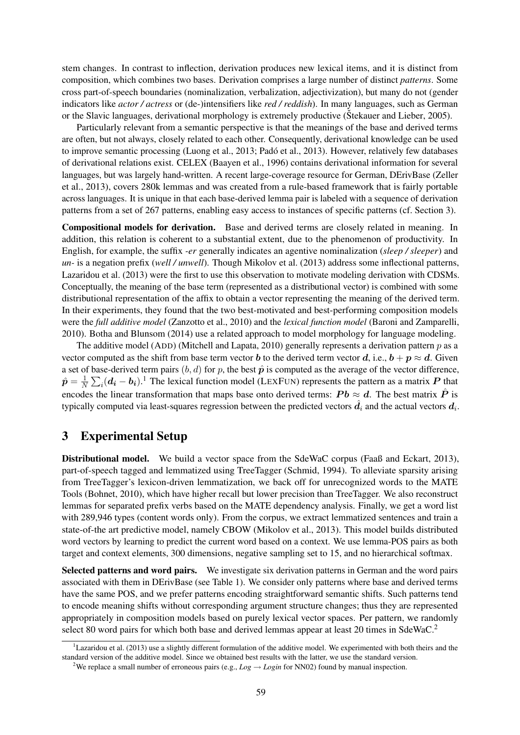stem changes. In contrast to inflection, derivation produces new lexical items, and it is distinct from composition, which combines two bases. Derivation comprises a large number of distinct *patterns*. Some cross part-of-speech boundaries (nominalization, verbalization, adjectivization), but many do not (gender indicators like *actor / actress* or (de-)intensifiers like *red / reddish*). In many languages, such as German or the Slavic languages, derivational morphology is extremely productive (Stekauer and Lieber, 2005).

Particularly relevant from a semantic perspective is that the meanings of the base and derived terms are often, but not always, closely related to each other. Consequently, derivational knowledge can be used to improve semantic processing (Luong et al., 2013; Pado et al., 2013). However, relatively few databases ´ of derivational relations exist. CELEX (Baayen et al., 1996) contains derivational information for several languages, but was largely hand-written. A recent large-coverage resource for German, DErivBase (Zeller et al., 2013), covers 280k lemmas and was created from a rule-based framework that is fairly portable across languages. It is unique in that each base-derived lemma pair is labeled with a sequence of derivation patterns from a set of 267 patterns, enabling easy access to instances of specific patterns (cf. Section 3).

Compositional models for derivation. Base and derived terms are closely related in meaning. In addition, this relation is coherent to a substantial extent, due to the phenomenon of productivity. In English, for example, the suffix *-er* generally indicates an agentive nominalization (*sleep / sleeper*) and *un-* is a negation prefix (*well / unwell*). Though Mikolov et al. (2013) address some inflectional patterns, Lazaridou et al. (2013) were the first to use this observation to motivate modeling derivation with CDSMs. Conceptually, the meaning of the base term (represented as a distributional vector) is combined with some distributional representation of the affix to obtain a vector representing the meaning of the derived term. In their experiments, they found that the two best-motivated and best-performing composition models were the *full additive model* (Zanzotto et al., 2010) and the *lexical function model* (Baroni and Zamparelli, 2010). Botha and Blunsom (2014) use a related approach to model morphology for language modeling.

The additive model (ADD) (Mitchell and Lapata, 2010) generally represents a derivation pattern  $p$  as a vector computed as the shift from base term vector b to the derived term vector d, i.e.,  $b + p \approx d$ . Given a set of base-derived term pairs  $(b, d)$  for p, the best  $\hat{p}$  is computed as the average of the vector difference,  $\hat{\bm{p}}=\frac{1}{\Lambda}$  $\frac{1}{N} \sum_i (\mathbf{d_i} - \mathbf{b_i})$ .<sup>1</sup> The lexical function model (LEXFUN) represents the pattern as a matrix P that encodes the linear transformation that maps base onto derived terms:  $Pb \approx d$ . The best matrix  $\hat{P}$  is typically computed via least-squares regression between the predicted vectors  $\hat{d}_i$  and the actual vectors  $d_i$ .

## 3 Experimental Setup

Distributional model. We build a vector space from the SdeWaC corpus (Faaß and Eckart, 2013), part-of-speech tagged and lemmatized using TreeTagger (Schmid, 1994). To alleviate sparsity arising from TreeTagger's lexicon-driven lemmatization, we back off for unrecognized words to the MATE Tools (Bohnet, 2010), which have higher recall but lower precision than TreeTagger. We also reconstruct lemmas for separated prefix verbs based on the MATE dependency analysis. Finally, we get a word list with 289,946 types (content words only). From the corpus, we extract lemmatized sentences and train a state-of-the art predictive model, namely CBOW (Mikolov et al., 2013). This model builds distributed word vectors by learning to predict the current word based on a context. We use lemma-POS pairs as both target and context elements, 300 dimensions, negative sampling set to 15, and no hierarchical softmax.

Selected patterns and word pairs. We investigate six derivation patterns in German and the word pairs associated with them in DErivBase (see Table 1). We consider only patterns where base and derived terms have the same POS, and we prefer patterns encoding straightforward semantic shifts. Such patterns tend to encode meaning shifts without corresponding argument structure changes; thus they are represented appropriately in composition models based on purely lexical vector spaces. Per pattern, we randomly select 80 word pairs for which both base and derived lemmas appear at least 20 times in SdeWaC.<sup>2</sup>

 ${}^{1}$ Lazaridou et al. (2013) use a slightly different formulation of the additive model. We experimented with both theirs and the standard version of the additive model. Since we obtained best results with the latter, we use the standard version.

<sup>&</sup>lt;sup>2</sup>We replace a small number of erroneous pairs (e.g.,  $Log \rightarrow Login$  for NN02) found by manual inspection.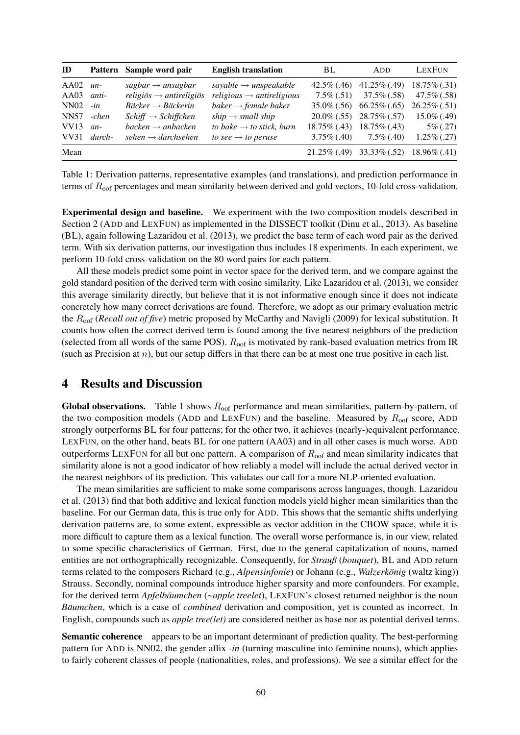| ID           |          | Pattern Sample word pair            | <b>English translation</b>            | BL             | <b>ADD</b>                                      | LEXFUN           |
|--------------|----------|-------------------------------------|---------------------------------------|----------------|-------------------------------------------------|------------------|
| $AA02$ un-   |          | $sagbar \rightarrow unsagbar$       | sayable $\rightarrow$ unspeakable     |                | $42.5\%$ (.46) $41.25\%$ (.49)                  | $18.75\%$ (.31)  |
| $AA03$ anti- |          | religiös $\rightarrow$ antireligiös | $religious \rightarrow antireligious$ | $7.5\%$ (.51)  | $37.5\%$ (.58)                                  | $47.5\%$ (.58)   |
| $NN02 - in$  |          | $Bäcker \rightarrow Bäckerin$       | baker $\rightarrow$ female baker      |                | $35.0\%$ (.56) 66.25\% (.65)                    | $26.25\%$ (.51)  |
| NN57 -chen   |          | $Schiff \rightarrow Schiffchen$     | $ship \rightarrow small$ ship         |                | $20.0\%$ (.55) $28.75\%$ (.57)                  | $15.0\%$ (.49)   |
| VV13         | $an-$    | $backen \rightarrow anbacken$       | to bake $\rightarrow$ to stick, burn  |                | $18.75\%$ (.43) $18.75\%$ (.43)                 | $5\%$ (.27)      |
| VV31         | $durch-$ | sehen $\rightarrow$ durchsehen      | to see $\rightarrow$ to peruse        | $3.75\%$ (.40) | $7.5\%$ (.40)                                   | $1.25\%$ $(.27)$ |
| Mean         |          |                                     |                                       |                | $21.25\%$ (.49) $33.33\%$ (.52) $18.96\%$ (.41) |                  |

Table 1: Derivation patterns, representative examples (and translations), and prediction performance in terms of  $R_{\text{oof}}$  percentages and mean similarity between derived and gold vectors, 10-fold cross-validation.

Experimental design and baseline. We experiment with the two composition models described in Section 2 (ADD and LEXFUN) as implemented in the DISSECT toolkit (Dinu et al., 2013). As baseline (BL), again following Lazaridou et al. (2013), we predict the base term of each word pair as the derived term. With six derivation patterns, our investigation thus includes 18 experiments. In each experiment, we perform 10-fold cross-validation on the 80 word pairs for each pattern.

All these models predict some point in vector space for the derived term, and we compare against the gold standard position of the derived term with cosine similarity. Like Lazaridou et al. (2013), we consider this average similarity directly, but believe that it is not informative enough since it does not indicate concretely how many correct derivations are found. Therefore, we adopt as our primary evaluation metric the Roof (*Recall out of five*) metric proposed by McCarthy and Navigli (2009) for lexical substitution. It counts how often the correct derived term is found among the five nearest neighbors of the prediction (selected from all words of the same POS).  $R_{\text{oof}}$  is motivated by rank-based evaluation metrics from IR (such as Precision at  $n$ ), but our setup differs in that there can be at most one true positive in each list.

#### 4 Results and Discussion

Global observations. Table 1 shows  $R_{\text{oof}}$  performance and mean similarities, pattern-by-pattern, of the two composition models (ADD and LEXFUN) and the baseline. Measured by  $R_{\text{oof}}$  score, ADD strongly outperforms BL for four patterns; for the other two, it achieves (nearly-)equivalent performance. LEXFUN, on the other hand, beats BL for one pattern (AA03) and in all other cases is much worse. ADD outperforms LEXFUN for all but one pattern. A comparison of  $R_{\text{oof}}$  and mean similarity indicates that similarity alone is not a good indicator of how reliably a model will include the actual derived vector in the nearest neighbors of its prediction. This validates our call for a more NLP-oriented evaluation.

The mean similarities are sufficient to make some comparisons across languages, though. Lazaridou et al. (2013) find that both additive and lexical function models yield higher mean similarities than the baseline. For our German data, this is true only for ADD. This shows that the semantic shifts underlying derivation patterns are, to some extent, expressible as vector addition in the CBOW space, while it is more difficult to capture them as a lexical function. The overall worse performance is, in our view, related to some specific characteristics of German. First, due to the general capitalization of nouns, named entities are not orthographically recognizable. Consequently, for *Strauß* (*bouquet*), BL and ADD return terms related to the composers Richard (e.g., *Alpensinfonie*) or Johann (e.g., *Walzerkönig* (waltz king)) Strauss. Secondly, nominal compounds introduce higher sparsity and more confounders. For example, for the derived term *Apfelbäumchen* (~apple treelet), LEXFUN's closest returned neighbor is the noun *Bäumchen*, which is a case of *combined* derivation and composition, yet is counted as incorrect. In English, compounds such as *apple tree(let)* are considered neither as base nor as potential derived terms.

Semantic coherence appears to be an important determinant of prediction quality. The best-performing pattern for ADD is NN02, the gender affix *-in* (turning masculine into feminine nouns), which applies to fairly coherent classes of people (nationalities, roles, and professions). We see a similar effect for the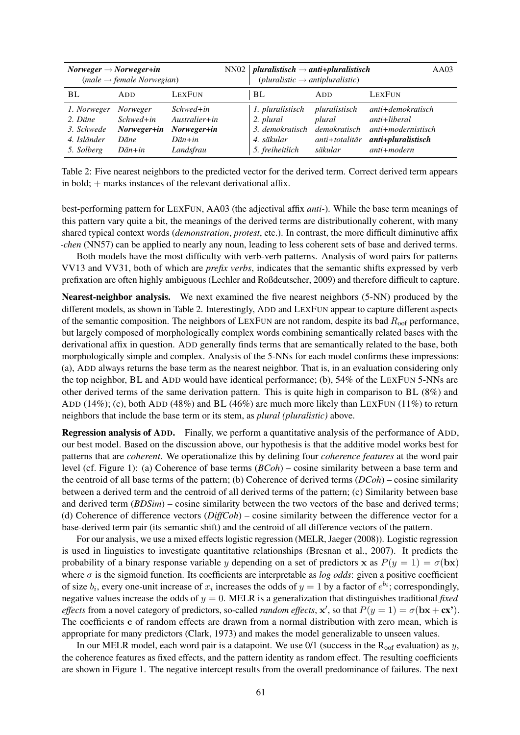| $Norweger \rightarrow Norweger + in$<br>$(male \rightarrow female \, Norwegian)$ |                                                           |                                                                                    |  | NN02   pluralistisch $\rightarrow$ anti+pluralistisch<br>AA03<br>$(pluralistic \rightarrow antipluralistic)$ |                                                                             |                                                                                                    |
|----------------------------------------------------------------------------------|-----------------------------------------------------------|------------------------------------------------------------------------------------|--|--------------------------------------------------------------------------------------------------------------|-----------------------------------------------------------------------------|----------------------------------------------------------------------------------------------------|
| BL.                                                                              | ADD.                                                      | LEXFUN                                                                             |  | BL                                                                                                           | ADD                                                                         | LEXFUN                                                                                             |
| 1. Norweger<br>2. Däne<br>3. Schwede<br>4. Isländer<br>5. Solberg                | Norweger<br>$Schwed$ +in<br>Norweger+in<br>Däne<br>Dän+in | $Schwed + in$<br>$A$ ustralier+in<br>Norweger+in<br>$D\ddot{a}n + in$<br>Landsfrau |  | 1. pluralistisch<br>2. plural<br>3. demokratisch<br>4. säkular<br>5. freiheitlich                            | pluralistisch<br>plural<br><i>demokratisch</i><br>anti+totalitär<br>säkular | anti+demokratisch<br>$anti+liberal$<br>$anti + modernistisch$<br>anti+pluralistisch<br>anti+modern |

Table 2: Five nearest neighbors to the predicted vector for the derived term. Correct derived term appears in bold; + marks instances of the relevant derivational affix.

best-performing pattern for LEXFUN, AA03 (the adjectival affix *anti-*). While the base term meanings of this pattern vary quite a bit, the meanings of the derived terms are distributionally coherent, with many shared typical context words (*demonstration*, *protest*, etc.). In contrast, the more difficult diminutive affix *-chen* (NN57) can be applied to nearly any noun, leading to less coherent sets of base and derived terms.

Both models have the most difficulty with verb-verb patterns. Analysis of word pairs for patterns VV13 and VV31, both of which are *prefix verbs*, indicates that the semantic shifts expressed by verb prefixation are often highly ambiguous (Lechler and Roßdeutscher, 2009) and therefore difficult to capture.

Nearest-neighbor analysis. We next examined the five nearest neighbors (5-NN) produced by the different models, as shown in Table 2. Interestingly, ADD and LEXFUN appear to capture different aspects of the semantic composition. The neighbors of LEXFUN are not random, despite its bad  $R_{\text{oof}}$  performance, but largely composed of morphologically complex words combining semantically related bases with the derivational affix in question. ADD generally finds terms that are semantically related to the base, both morphologically simple and complex. Analysis of the 5-NNs for each model confirms these impressions: (a), ADD always returns the base term as the nearest neighbor. That is, in an evaluation considering only the top neighbor, BL and ADD would have identical performance; (b), 54% of the LEXFUN 5-NNs are other derived terms of the same derivation pattern. This is quite high in comparison to BL (8%) and ADD (14%); (c), both ADD (48%) and BL (46%) are much more likely than LEXFUN (11%) to return neighbors that include the base term or its stem, as *plural (pluralistic)* above.

Regression analysis of ADD. Finally, we perform a quantitative analysis of the performance of ADD, our best model. Based on the discussion above, our hypothesis is that the additive model works best for patterns that are *coherent*. We operationalize this by defining four *coherence features* at the word pair level (cf. Figure 1): (a) Coherence of base terms (*BCoh*) – cosine similarity between a base term and the centroid of all base terms of the pattern; (b) Coherence of derived terms (*DCoh*) – cosine similarity between a derived term and the centroid of all derived terms of the pattern; (c) Similarity between base and derived term (*BDSim*) – cosine similarity between the two vectors of the base and derived terms; (d) Coherence of difference vectors (*DiffCoh*) – cosine similarity between the difference vector for a base-derived term pair (its semantic shift) and the centroid of all difference vectors of the pattern.

For our analysis, we use a mixed effects logistic regression (MELR, Jaeger (2008)). Logistic regression is used in linguistics to investigate quantitative relationships (Bresnan et al., 2007). It predicts the probability of a binary response variable y depending on a set of predictors x as  $P(y = 1) = \sigma(\mathbf{bx})$ where  $\sigma$  is the sigmoid function. Its coefficients are interpretable as *log odds*: given a positive coefficient of size  $b_i$ , every one-unit increase of  $x_i$  increases the odds of  $y = 1$  by a factor of  $e^{b_i}$ ; correspondingly, negative values increase the odds of y = 0. MELR is a generalization that distinguishes traditional *fixed effects* from a novel category of predictors, so-called *random effects*,  $x'$ , so that  $P(y = 1) = \sigma(bx + cx')$ . The coefficients c of random effects are drawn from a normal distribution with zero mean, which is appropriate for many predictors (Clark, 1973) and makes the model generalizable to unseen values.

In our MELR model, each word pair is a datapoint. We use  $0/1$  (success in the R<sub>oof</sub> evaluation) as y, the coherence features as fixed effects, and the pattern identity as random effect. The resulting coefficients are shown in Figure 1. The negative intercept results from the overall predominance of failures. The next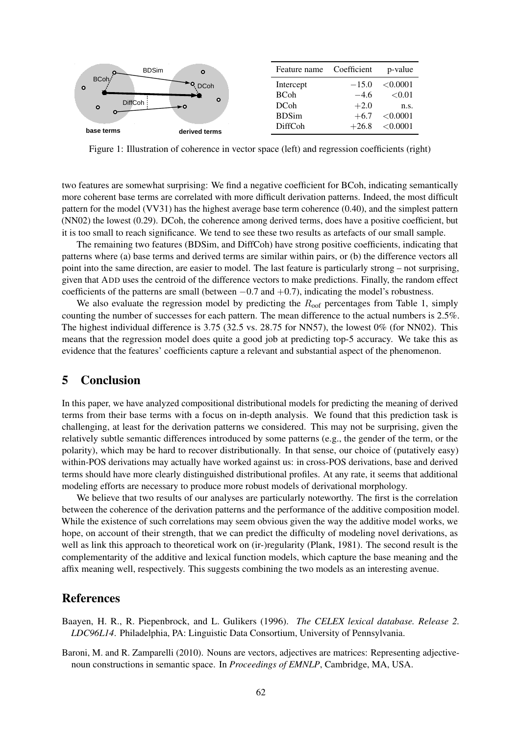

Figure 1: Illustration of coherence in vector space (left) and regression coefficients (right)

two features are somewhat surprising: We find a negative coefficient for BCoh, indicating semantically more coherent base terms are correlated with more difficult derivation patterns. Indeed, the most difficult pattern for the model (VV31) has the highest average base term coherence (0.40), and the simplest pattern (NN02) the lowest (0.29). DCoh, the coherence among derived terms, does have a positive coefficient, but it is too small to reach significance. We tend to see these two results as artefacts of our small sample.

The remaining two features (BDSim, and DiffCoh) have strong positive coefficients, indicating that patterns where (a) base terms and derived terms are similar within pairs, or (b) the difference vectors all point into the same direction, are easier to model. The last feature is particularly strong – not surprising, given that ADD uses the centroid of the difference vectors to make predictions. Finally, the random effect coefficients of the patterns are small (between  $-0.7$  and  $+0.7$ ), indicating the model's robustness.

We also evaluate the regression model by predicting the  $R_{\text{oof}}$  percentages from Table 1, simply counting the number of successes for each pattern. The mean difference to the actual numbers is 2.5%. The highest individual difference is 3.75 (32.5 vs. 28.75 for NN57), the lowest 0% (for NN02). This means that the regression model does quite a good job at predicting top-5 accuracy. We take this as evidence that the features' coefficients capture a relevant and substantial aspect of the phenomenon.

## 5 Conclusion

In this paper, we have analyzed compositional distributional models for predicting the meaning of derived terms from their base terms with a focus on in-depth analysis. We found that this prediction task is challenging, at least for the derivation patterns we considered. This may not be surprising, given the relatively subtle semantic differences introduced by some patterns (e.g., the gender of the term, or the polarity), which may be hard to recover distributionally. In that sense, our choice of (putatively easy) within-POS derivations may actually have worked against us: in cross-POS derivations, base and derived terms should have more clearly distinguished distributional profiles. At any rate, it seems that additional modeling efforts are necessary to produce more robust models of derivational morphology.

We believe that two results of our analyses are particularly noteworthy. The first is the correlation between the coherence of the derivation patterns and the performance of the additive composition model. While the existence of such correlations may seem obvious given the way the additive model works, we hope, on account of their strength, that we can predict the difficulty of modeling novel derivations, as well as link this approach to theoretical work on (ir-)regularity (Plank, 1981). The second result is the complementarity of the additive and lexical function models, which capture the base meaning and the affix meaning well, respectively. This suggests combining the two models as an interesting avenue.

#### References

- Baayen, H. R., R. Piepenbrock, and L. Gulikers (1996). *The CELEX lexical database. Release 2. LDC96L14*. Philadelphia, PA: Linguistic Data Consortium, University of Pennsylvania.
- Baroni, M. and R. Zamparelli (2010). Nouns are vectors, adjectives are matrices: Representing adjectivenoun constructions in semantic space. In *Proceedings of EMNLP*, Cambridge, MA, USA.